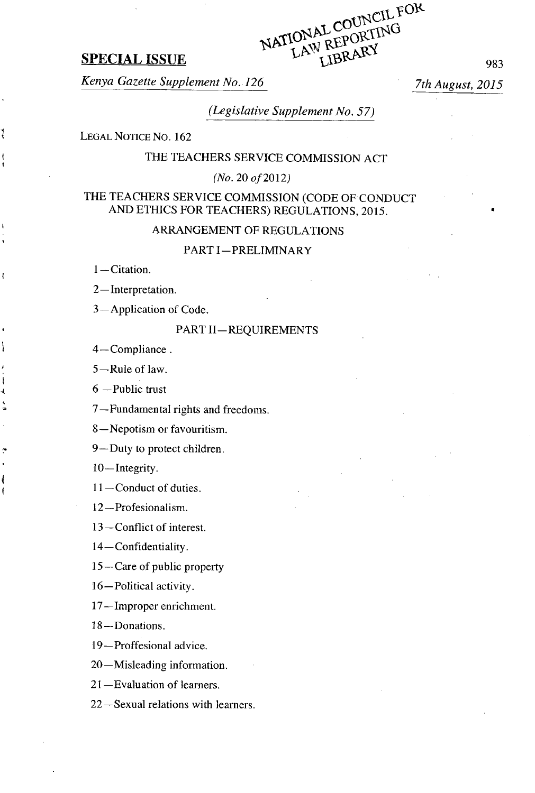

Kenya Gazette Supplement No. **126** 7th August, **2015**

(Legislative Supplement No. **57)**

**LEGAL NOTICE** No. **162**

# THE **TEACHERS** SERVICE **COMMISSION ACT**

(No. 20 of 2012)

# THE **TEACHERS** SERVICE **COMMISSION (CODE** OF **CONDUCT AND ETHICS** FOR **TEACHERS)** REGULATIONS, **2015.**

# ARRANGEMENT OF **REGULATIONS**

PART I-PRELIMINARY

**<sup>I</sup>**—Citation.

ŧ

<sup>2</sup>**—**Interpretation.

3—Application of Code.

### PART **11— REQUIREMENTS**

4—Compliance.

**<sup>5</sup>—**Rule of law.

**6** —Public trust

**<sup>7</sup>**—Fundamental rights and freedoms.

**8 —** Nepotism or favouritism.

9— Duty to protect children.

10—Integrity.

11-Conduct of duties.

12—Profesionalism.

**13 —** Conflict of interest.

<sup>14</sup>**—**Confidentiality.

**15 —** Care of public property

16—Political activity.

**17 —** Improper enrichment.

18—Donations.

19—Proffesional advice.

20—Misleading information.

21 —Evaluation of learners.

22—Sexual relations with learners.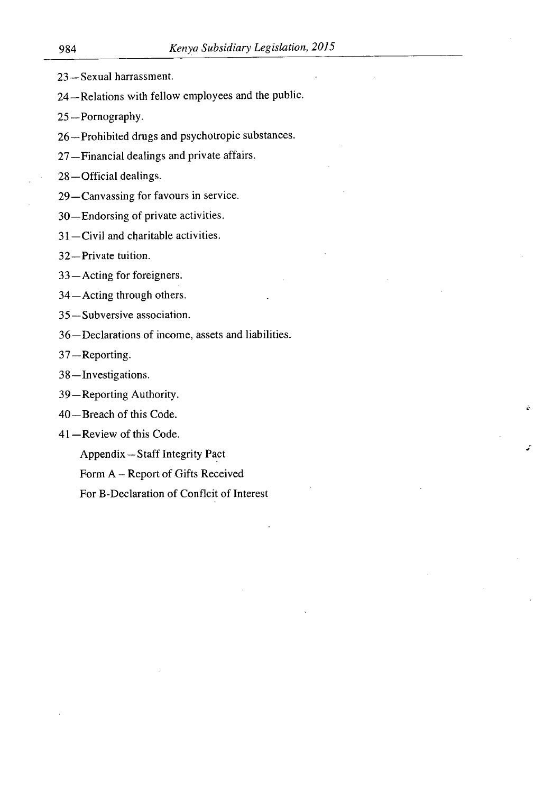- 23— Sexual harrassment.
- 24—Relations with fellow employees and the public.
- 25—Pornography.
- 26—Prohibited drugs and psychotropic substances.
- 27 —Financial dealings and private affairs.
- 28 —Official dealings.
- 29 —Canvassing for favours in service.
- 30—Endorsing of private activities.
- 31 —Civil and charitable activities.
- 32—Private tuition.

33 —Acting for foreigners.

- 34—Acting through others.
- 35 —Subversive association.
- 36—Declarations of income, assets and liabilities.
- 37—Reporting.
- 38 —Investigations.
- 39—Reporting Authority.
- 40 —Breach of this Code.
- 41 —Review of this Code.

Appendix—Staff Integrity Pact

Form A – Report of Gifts Received

For B-Declaration of Conflcit of Interest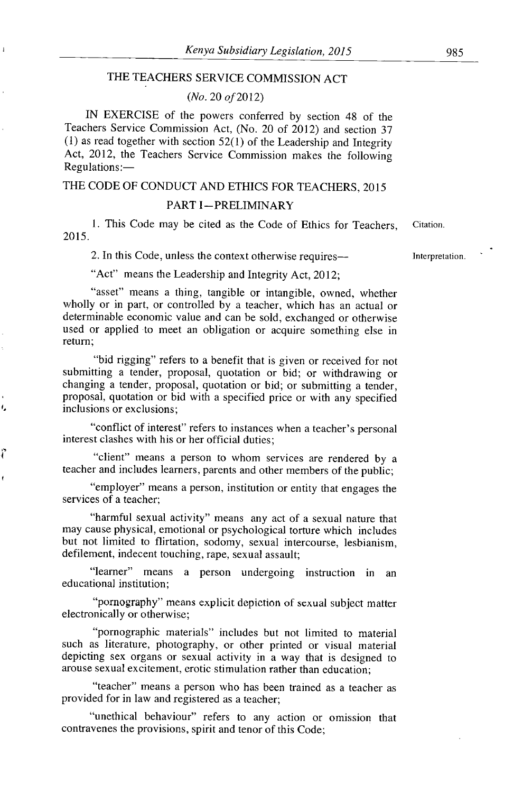## THE TEACHERS SERVICE COMMISSION ACT

 $\mathbf{I}$ 

١.

ľ

#### *(No. 20 of 2012)*

IN EXERCISE of the powers conferred by section *48* of the Teachers Service Commission Act, (No. *20* of *2012)* and section 37 (1) as read together with section *52(l)* of the Leadership and Integrity Act, *2012,* the Teachers Service Commission makes the following Regulations:—

# THE CODE OF CONDUCT AND ETHICS FOR TEACHERS, *2015*

#### PART I-PRELIMINARY

1. This Code may be cited as the Code of Ethics for Teachers, Citation. *2015.*

2. In this Code, unless the context otherwise requires— **Interpretation**.

"Act" means the Leadership and Integrity Act, *2012;*

"asset" means a thing, tangible or intangible, owned, whether wholly or in part, or controlled by a teacher, which has an actual or determinable economic value and can be sold, exchanged or otherwise used or applied to meet an obligation or acquire something else in return;

"bid rigging" refers to a benefit that is given or received for not submitting a tender, proposal, quotation or bid; or withdrawing or changing a tender, proposal, quotation or bid; or submitting a tender, proposal, quotation or bid with a specified price or with any specified inclusions or exclusions;

"conflict of interest" refers to instances when a teacher's personal interest clashes with his or her official duties;

"client" means a person to whom services are rendered by a teacher and includes learners, parents and other members of the public;

"employer" means a person, institution or entity that engages the services of a teacher;

"harmful sexual activity" means any act of a sexual nature that may cause physical, emotional or psychological torture which includes but not limited to flirtation, sodomy, sexual intercourse, lesbianism, defilement, indecent touching, rape, sexual assault;

"leamer" means a person undergoing instruction in an educational institution;

"pornography" means explicit depiction of sexual subject matter electronically or otherwise;

"pornographic materials" includes but not limited to material such as literature, photography, or other printed or visual material depicting sex organs or sexual activity in a way that is designed to arouse sexual excitement, erotic stimulation rather than education;

"teacher" means a person who has been trained as a teacher as provided for in law and registered as a teacher;

"unethical behaviour" refers to any action or omission that contravenes the provisions, spirit and tenor of this Code;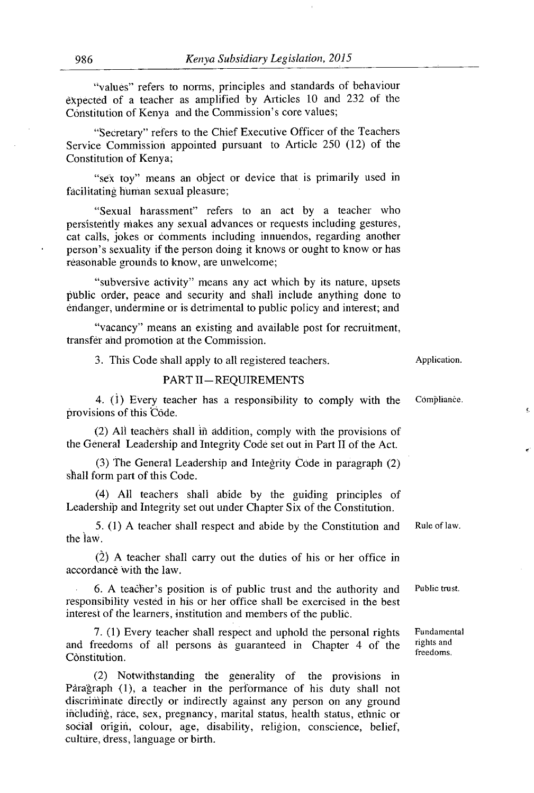"values" refers to norms, principles and standards of behaviour dYpected of a teacher as amplified **by** Articles **10** and **232** of the Constitution of Kenya and the Commission's core values;

"Secretary" refers to the Chief Executive Officer of the Teachers Service Commission appointed pursuant to Article **250** (12) of the Constitution of Kenya;

"sex toy" means an object or device that is primarily used in facilitating human sexual pleasure;

"Sexual harassment" refers to an act **by** a teacher who persistently makes any sexual advances or requests including gestures, cat calls, jokes or comments including innuendos, regarding another person's sexuality if the person doing it knows or ought to know or has reasonable grounds to know, are unwelcome;

"subversive activity" means any act which **by** its nature, upsets public order, peace and security and shall include anything done to endanger, undermine or is detrimental to public policy and interest; and

"vacancy" means an existing and available post for recruitment transfer and promotion at the Commission.

| <b>PART II-REQUIREMENTS</b>                                                                                                                                                                                       |                                        |
|-------------------------------------------------------------------------------------------------------------------------------------------------------------------------------------------------------------------|----------------------------------------|
| 4. (1) Every teacher has a responsibility to comply with the<br>provisions of this Côde.                                                                                                                          | Compliance.                            |
| (2) All teachers shall in addition, comply with the provisions of<br>the General Leadership and Integrity Code set out in Part II of the Act.                                                                     |                                        |
| (3) The General Leadership and Integrity Code in paragraph (2)<br>shall form part of this Code.                                                                                                                   |                                        |
| (4) All teachers shall abide by the guiding principles of<br>Leadership and Integrity set out under Chapter Six of the Constitution.                                                                              |                                        |
| 5. (1) A teacher shall respect and abide by the Constitution and<br>the law.                                                                                                                                      | Rule of law.                           |
| $(2)$ A teacher shall carry out the duties of his or her office in<br>accordance with the law.                                                                                                                    |                                        |
| 6. A teacher's position is of public trust and the authority and<br>responsibility vested in his or her office shall be exercised in the best<br>interest of the learners, institution and members of the public. | Public trust.                          |
| 7. (1) Every teacher shall respect and uphold the personal rights<br>and freedoms of all persons às guaranteed in Chapter 4 of the<br>Constitution.                                                               | Fundamental<br>rights and<br>freedoms. |
|                                                                                                                                                                                                                   |                                        |

**3.** This Code shall apply to all registered teachers. Application.

(2) Notwithstanding the generality of the provisions in Pàragraph (1), a teacher in the performance of his duty shall not discriminate directly or indirectly against any person on any ground ificluding, race, sex, pregnancy, marital status, health status, ethnic or **Z\_** social origin, colour, age, disability, religion, conscience, belief, culture, dress, language or birth.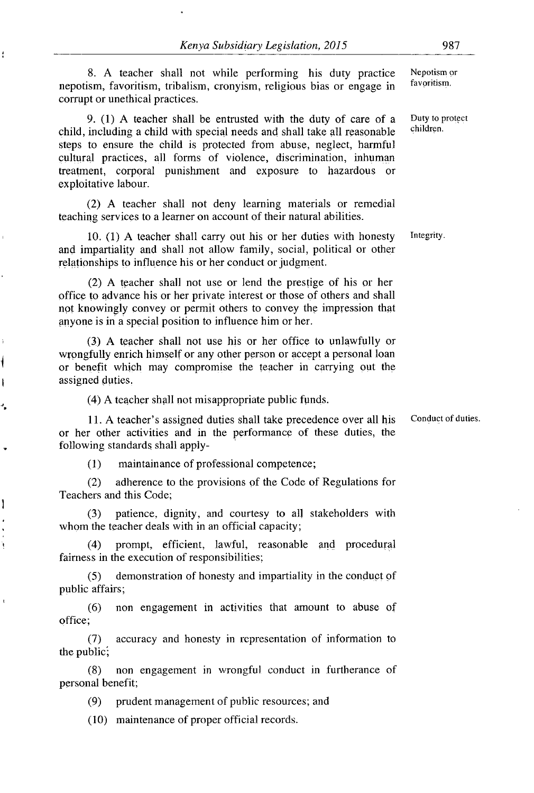8. A teacher shall not while performing his duty practice Nepotism or<br>iom favoritism tribalism cronuom religious bise or opened in favoritism. nepotism, favoritism, tribalism, cronyism, religious bias or engage in corrupt or unethical practices.

ł

 $\overline{\mathcal{C}}$  $\mathbf{I}$ 

١

À

9.  $(1)$  A teacher shall be entrusted with the duty of care of a Duty to protect including a shild with enough people and shall take all research la shildren. child, including a child with special needs and shall take all reasonable steps to ensure the child is protected from abuse, neglect, harmful cultural practices, all forms of violence, discrimination, inhuman treatment, corporal punishment and exposure to hazardous or exploitative labour.

(2) **A** teacher shall not deny learning materials or remedial teaching services to a learner on account of their natural abilities.

**10. (1) A** teacher shall carry out his or her duties with honesty Integrity. and impartiality and shall not allow family, social, political or other relationships **to** influence his or her conduct or judgment.

(2) **A** teacher shall not use or lend the prestige of his or her office to advance his or her private interest or those of others and shall not knowingly convey or permit others to convey the impression that anyone is in a special position to influence him or her.

(3,) **A** teacher shall not use his or her office to unlawfully or wrongfully enrich himself or any other person or accept a personal loan or benefit which may compromise the teacher in carrying out the assigned duties.

(4) **A** teacher shall not misappropriate public funds.

**11. A** teacher's assigned duties shall take precedence over all his Conduct of duties. or her other activities and in the performance of these duties, the following standards shall apply-

(1) maintainance of professional competence;

(2) adherence to the provisions **of** the Code of Regulations for Teachers and this Code;

(3) patience, dignity, and courtesy to all stakeholders with whom the teacher deals with in an official capacity;

(4) prompt, efficient, lawful, reasonable and procedural fairness in the execution of responsibilities;

(5) demonstration of honesty and impartiality in the conduct **of** public affairs;

(6) non engagement in activities that amount to abuse of office:

(7) accuracy and honesty in representation of information to the public,

(8) non engagement in wrongful conduct in furtherance of personal benefit;

(9) prudent management of public resources; and

(10) maintenance of proper official records.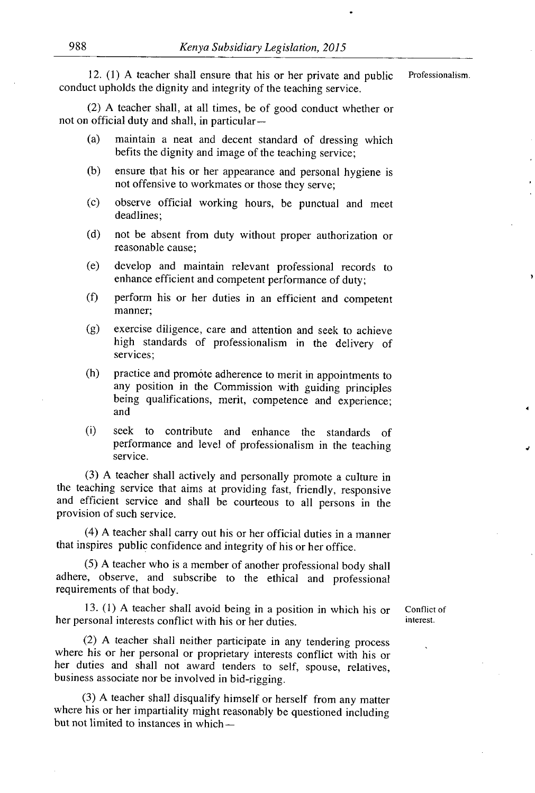12. (1) A teacher shall ensure that his or her private and public Professionalism. conduct upholds the dignity and integrity of the teaching service.

(2) A teacher shall, at all times, be of good conduct whether or not on official duty and shall, in particular-

- (a) maintain a neat and decent standard of dressing which befits the dignity and image of the teaching service;
- (b) ensure that his or her appearance and personal hygiene is not offensive to workmates or those they serve;
- (c) observe official working hours, be punctual and meet deadlines;
- (d) not be absent from duty without proper authorization or reasonable cause;
- (e) develop and maintain relevant professional records to enhance efficient and competent performance *of* duty;
- (f) perform his or her duties in an efficient and competent manner;
- (g) exercise diligence, care and attention and seek to achieve high standards of professionalism in the delivery of services;
- (h) practice and promote adherence to merit in appointments to any position in the Commission with guiding principles being qualifications, merit, competence and experience; and
- (i) seek to contribute and enhance the standards of performance and level of professionalism in the teaching service.

(3) A teacher shall actively and personally promote a culture in the teaching service that aims at providing fast, friendly, responsive and efficient service and shall be courteous to all persons in the provision of such service.

(4) A teacher shall carry out his or her official duties in a manner that inspires public confidence and integrity of his or her office.

(5) A teacher who is a member of another professional body shall adhere, observe, and subscribe to the ethical and professional requirements of that body.

13. (1) A teacher shall avoid being in a position in which his or Conflict of rsonal interests conflict with his or her duties her personal interests conflict with his or her duties.

(2) A teacher shall neither participate in any tendering process where his or her personal or proprietary interests conflict with his or her duties and shall not award tenders to self, spouse, relatives, business associate nor be involved in bid-rigging.

(3) A teacher shall disqualify himself or herself from any matter where his or her impartiality might reasonably be questioned including but not limited to instances in which —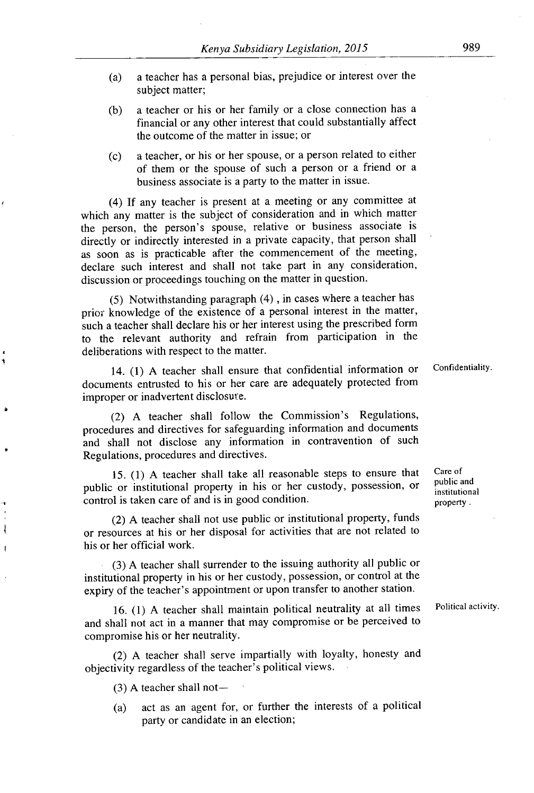- (a) a teacher has a personal bias, prejudice or interest over the subject matter;
- (b) a teacher or his or her family or a close connection has a financial or any other interest that could substantially affect the outcome of the matter in issue; or
- (c) a teacher, or his or her spouse, or a person related to either of them or the spouse of such a person or a friend or a business associate is a party to the matter in issue.

(4) If any teacher is present at a meeting or any committee at which any matter is the subject of consideration and in which matter the person, the person's spouse, relative or business associate is directly or indirectly interested in a private capacity, that person shall as soon as is practicable after the commencement of the meeting, declare such interest and shall not take part in any consideration, discussion or proceedings touching on the matter in question.

(5) Notwithstanding paragraph (4) , in cases where a teacher has prior knowledge of the existence of a personal interest in the matter, such a teacher shall declare his or her interest using the prescribed form to the relevant authority and refrain from participation in the deliberations with respect to the matter.

14. (1) A teacher shall ensure that confidential information or Confidentiality. documents entrusted to his or her care are adequately protected from improper or inadvertent disclosure.

(2) A teacher shall follow the Commission's Regulations, procedures and directives for safeguarding information and documents and shall not disclose any information in contravention of such Regulations, procedures and directives.

15. (1) A teacher shall take all reasonable steps to ensure that Care of  $\frac{1}{2}$  can be a system of  $\frac{1}{2}$  and  $\frac{1}{2}$  and  $\frac{1}{2}$  and  $\frac{1}{2}$  and  $\frac{1}{2}$  and  $\frac{1}{2}$  and  $\frac{1}{2}$  and  $\frac{1}{2}$  and  $\frac{1}{2$ public or institutional property in his or her custody, possession, or control is taken care of and is in good condition. property .

(2) A teacher shall not use public or institutional property, funds or resources at his or her disposal for activities that are not related to his or her official work.

. (3) A teacher shall surrender to the issuing authority all public or institutional property in his or her custody, possession, or control at the expiry of the teacher's appointment or upon transfer to another station.

16. (1) A teacher shall maintain political neutrality at all times Political activity. and shall not act in a manner that may compromise or be perceived to compromise his or her neutrality.

(2) A teacher shall serve impartially with loyalty, honesty and objectivity regardless of the teacher's political views.

 $(3)$  A teacher shall not-

 $\overline{\phantom{a}}$ f

> (a) act as an agent for, or further the interests of a political party or candidate in an election;

institutional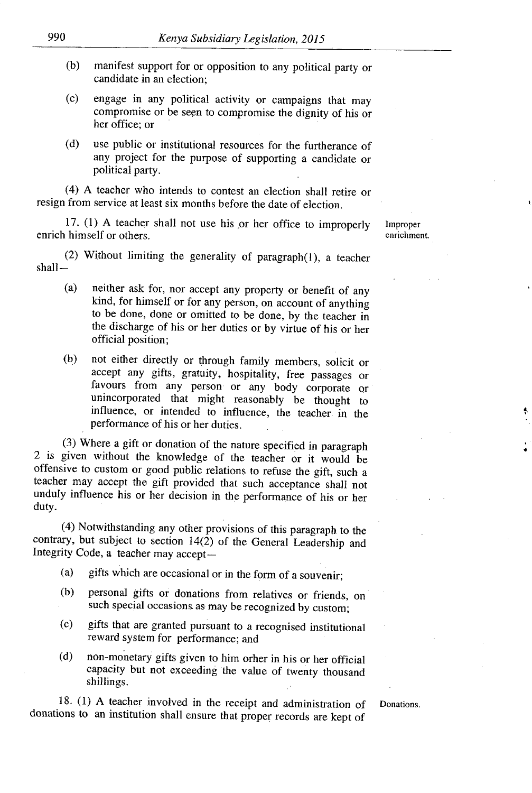- (b) manifest support for or opposition to any political party or candidate in an election;
- (c) engage in any political activity or campaigns that may compromise or be seen to compromise the dignity of his or her office; or
- (d) use public or institutional resources for the furtherance of any project for the purpose of supporting a candidate or political party.

(4) A teacher who intends to contest an election shall retire Or resign from service at least six months before the date of election.

17. (1) A teacher shall not use his or her office to improperly improper enrich himself or others. enrichment.

(2) Without limiting the generality of paragraph(l), a teacher shall-

- (a) neither ask for, nor accept any property or benefit of any kind, for himself or for any person, on account of anything to be done, done or omitted to be done, by the teacher in the discharge of his or her duties or by virtue of his or her official position;
- (b) not either directly or through family members, solicit or accept any gifts, gratuity, hospitality, free passages or favours from any person or any body corporate or unincorporated that might reasonably be thought to influence, or intended to influence, the teacher in the performance of his or her duties.

(3) Where a gift or donation of the nature specified in paragraph 2 is given without the knowledge of the teacher or it would be offensive to custom or good public relations to refuse the gift, such a teacher may accept the gift provided that such acceptance shall not unduly influence his or her decision in the performance of his or her duty.

(4) Notwithstanding any other provisions of this paragraph to the contrary, but subject to section  $14(2)$  of the General Leadership and Integrity Code, a teacher may accept-

- (a) gifts which are occasional or in the form of a souvenir;
- (b) personal gifts or donations from relatives or friends, on such special occasions as may be recognized by custom;
- (c) gifts that are granted pursuant to a recognised institutional reward system for performance; and
- (d) non-monetary gifts given to him other in his or her official capacity but not exceeding the value of twenty thousand shillings.

18. (1) A teacher involved in the receipt and administration of Donations, donations to an institution shall ensure that proper records are kept of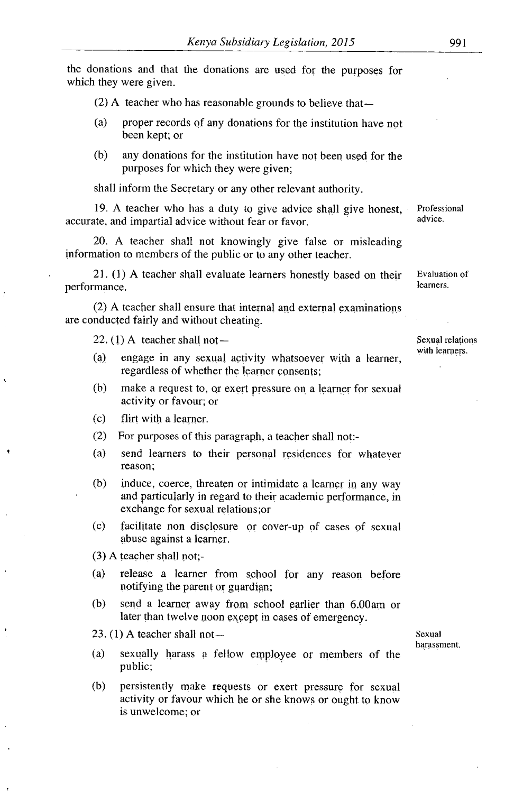the donations and that the donations are used for the purposes for which they were given.

(2) A teacher who has reasonable grounds to believe that $-$ 

- (a) proper records of any donations for the institution have not been kept; or
- (b) any donations for the institution have not been used for the purposes for which they were given;

shall inform the Secretary or any other relevant authority.

19. A teacher who has a duty to give advice shall give honest, Professional<br>the and impartial advice without for or fovor accurate, and impartial advice without fear or favor.

20. A teacher shall not knowingly give false or misleading information to members of the public or to any other teacher.

21. (1) A teacher shall evaluate learners honestly based on their Evaluation of  $\frac{1}{2}$ performance.

(2) A teacher shall ensure that internal and external examinations are conducted fairly and without cheating.

22.  $(1)$  A teacher shall not — Sexual relations

- (4) engage in any sexual activity whatsoever with a learner, regardless of whether the learner consents;
- (b) make a request to, or exert pressure on. a learner for sexual activity or favour; or
- (c) flirt with a learner.
- (2) For purposes of this paragraph, a teacher shall not:-
- (a) send learners to their personal residences for whatever reason;
- (b) induce, coerce, threaten or intimidate a learner in any way and particularly in regard to their academic performance, in exchange for sexual relations;or
- (c) facilitate non disclosure or cover-up of cases of sexual abuse against a learner.

(3) A teacher shall not;-

- (a) release a learner from school for any reason before notifying the parent or guardian;
- (b) send a learner away from school earlier than 6.00am or later than twelve noon except in cases of emergency.

23. (1) A teacher shall not—<br>Sexual

- (a) sexually harass a fellow employee or members of the public;
- (b) persistently make requests or exert pressure for sexual activity or favour which he or she knows or ought to know is unwelcome; or

harassment.

with learners.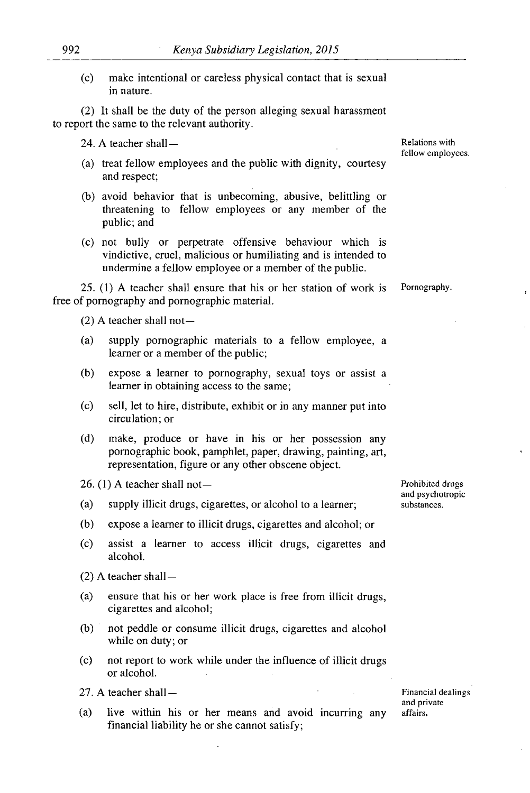(c) make intentional or careless physical contact that is sexual in nature.

*(2)* It shall be the duty of the person alleging sexual harassment to report the same to the relevant authority.

24. A teacher shall —

- (a) treat fellow employees and the public with dignity, courtesy and respect;
- (b) avoid behavior that is unbecoming, abusive, belittling or threatening to fellow employees or any member of the public; and
- (c) not bully or perpetrate offensive behaviour which is vindictive, cruel, malicious or humiliating and is intended to undermine a fellow employee or a member of the public.

*25.* (1) A teacher shall ensure that his or her station of work is Pornography. free of pornography and pornographic material.

*(2)* A teacher shall not-

- (a) supply pornographic materials to a fellow employee, a learner or a member of the public;
- (b) expose a learner to pornography, sexual toys or assist a learner in obtaining access to the same;
- (c) sell, let to hire, distribute, exhibit or in any manner put into circulation; or
- (d) make, produce or have in his or her possession any pornographic book, pamphlet, paper, drawing, painting, art, representation, figure or any other obscene object.

 $26.$  (1) A teacher shall not-

- (a) supply illicit drugs, cigarettes, or alcohol to a learner;
- (b) expose a learner to illicit drugs, cigarettes and alcohol; or
- (c) assist a learner to access illicit drugs, cigarettes and alcohol.
- *(2)* A teacher shall —
- (a) ensure that his or her work place is free from illicit drugs, cigarettes and alcohol;
- (b) not peddle or consume illicit drugs, cigarettes and alcohol while on duty; or
- (c) not report to work while under the influence of illicit drugs or alcohol.

27. A teacher shall —

(a) live within his or her means and avoid incurring any financial liability he or she cannot satisfy;

Financial dealings and private affairs.

Prohibited drugs and psychotropic substances.

Relations with fellow employees.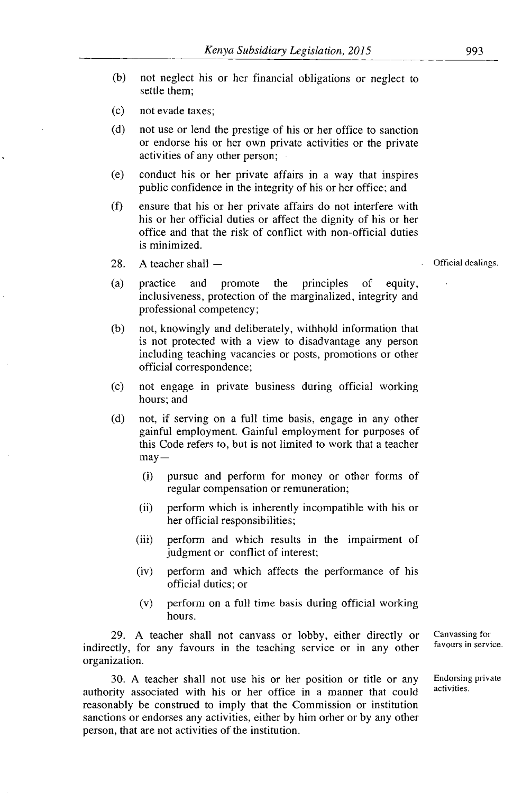- (b) not neglect his or her financial obligations or neglect to settle them;
- (c) not evade taxes;
- (d) not use or lend the prestige of his or her office to sanction or endorse his or her own private activities or the private activities of any other person;
- (e) conduct his or her private affairs in a way that inspires public confidence in the integrity of his or her office; and
- (f) ensure that his or her private affairs do not interfere with his or her official duties or affect the dignity of his or her office and that the risk of conflict with non-official duties is minimized.
- *28. A* teacher shall —
- (a) practice and promote the principles of equity, inclusiveness, protection of the marginalized, integrity and professional competency;
- (b) not, knowingly and deliberately, withhold information that is not protected with a view to disadvantage any person including teaching vacancies or posts, promotions or other official correspondence;
- (c) not engage in private business during official working hours; and
- (d) not, if serving on a full time basis, engage in any other gainful employment. Gainful employment for purposes of this Code refers to, but is not limited to work that a teacher  $may -$ 
	- (i) pursue and perform for money or other forms of regular compensation or remuneration;
	- (ii) perform which is inherently incompatible with his or her official responsibilities;
	- (iii) perform and which results in the impairment of judgment or conflict of interest;
	- (iv) perform and which affects the performance of his official duties; or
	- (v) perform on a full time basis during official working hours.

29. A teacher shall not canvass or lobby, either directly or Canvassing for entity for any formulation of the teaching service or in any other favours in service. indirectly, for any favours in the teaching service or in any other organization.

30. A teacher shall not use his or her position or title or any Endorsing private authority associated with his or her office in a manner that could reasonably be construed to imply that the Commission or institution sanctions or endorses any activities, either by him orher or by any other person, that are not activities of the institution.

Official dealings.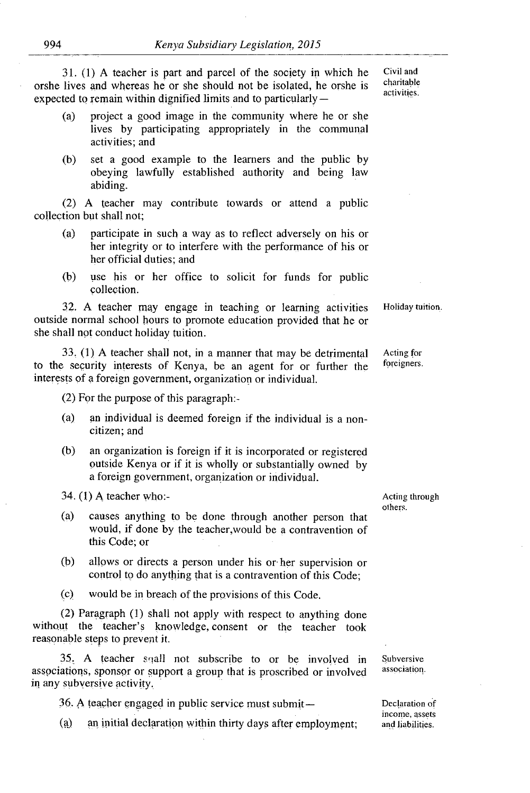**31. (1) A** teacher is part and parcel of the society in which he Civil and orshe lives and whereas he or she should not be isolated, he orshe is expected to remain within dignified limits and to particularly —

- (4) project a good image in the community where he or she lives **by** participating appropriately in the communal activities; and
- **(b)** set a good example to the learners and the public **by** obeying lawfully established authority and being law abiding.

(2) **A** teacher may contribute towards or attend a public collection but shall not;

- (a) participate in such, a way as to reflect adversely on his or her integrity or to interfere with the performance of his or her official duties; and
- (b) use his or her office to solicit for funds for public collection.

**<sup>3</sup>. 2. A** teacher **may** engage in teaching or learning activities Holiday tuition. outside normal school hours to promote education provided that he or she shall not conduct holiday tuition.

**33. (1) A** teacher shall not, in a manner that may **be** detrimental Acting for to the security interests of Kenya, be an agent for or further the foreigners. interests of a foreign government, organization or individual.

(2) For the purpose of this paragraph:-

- $(a)$  an individual is deemed foreign if the individual is a noncitizen; and
- (b) an organization is foreign if it is incorporated or registered outside Kenya or if it is wholly or substantially owned **by** a foreign government, organization or individual.

34. **(1)** A teacher who:-  $\frac{1}{2}$  Acting through  $\frac{1}{2}$  Acting through

- (a) causes anything to be done through another person that would, if done **by** the teacher,would be **a** contravention of this Code; or
- (b) allows or directs a person under his or- her supervision or control to do anything that is a contravention of this Code;
- (c) would be in. breach of the provisions of this Code.

(2) Paragraph **(1)** shall not apply with respect to anything done without the teacher's knowledge, consent or the teacher took reasonable steps to prevent it.

 $35$ . A **teacher** sqall not subscribe to or be involved in Subversive ations sponsor or support a group that is proscribed or involved association. associations, sponsor or support a group that is proscribed or involved in any subversive activity.

**36. A teacher engaged in public service must submit—** Declaration of

(a) an initial declaration within thirty days after employment:

income, assets

others.

activities.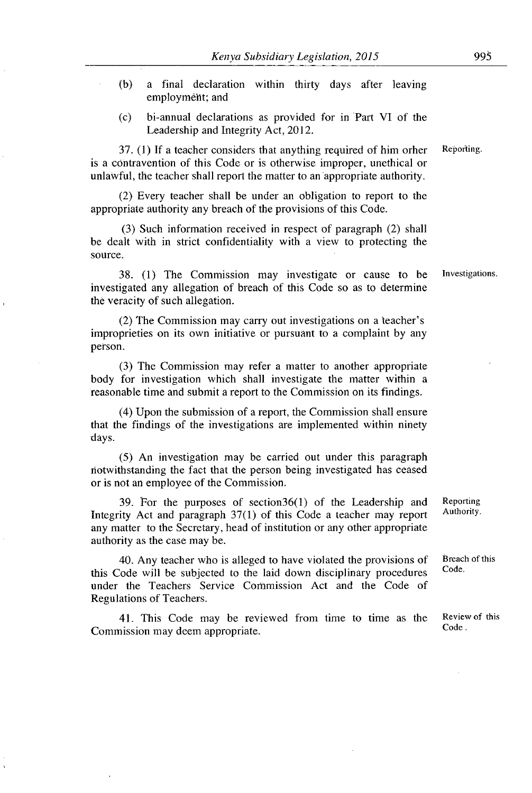- (b) a final declaration within thirty days after leaving employm6ht; and
- (c) bi-annual declarations as provided for in Part VI of the Leadership and Integrity Act, 2012.

 $37.$  (1) If a teacher considers that anything required of him orher Reporting. is a contravention of this Code or is otherwise improper, unethical or unlawful, the teacher shall report the matter to an appropriate authority.

(2) Every teacher shall be under an obligation to report to the appropriate authority any breach of the provisions of this Code.

(3) Such information received in respect of paragraph (2) shall be dealt with in strict confidentiality with a view to protecting the source.

38. (1) The Commission may investigate or cause to be investigations. investigated any allegation of breach of this Code so as to determine the veracity of such allegation.

(2) The Commission may carry out investigations on a teacher's improprieties on its own initiative or pursuant to a complaint by any person.

(3) The Commission may refer a matter to another appropriate body for investigation which shall investigate the matter within a reasonable time and submit a report to the Commission on its findings.

(4) Upon the submission of a report, the Commission shall ensure that the findings of the investigations are implemented within ninety days.

(5) An investigation may be carried out under this paragraph notwith standing the fact that the person being investigated has ceased or is not an employee of the Commission.

39. For the purposes of section  $36(1)$  of the Leadership and Reporting  $\Delta ct$  and paragraph  $37(1)$  of this Code a teacher may report Authority. Integrity Act and paragraph  $37(1)$  of this Code a teacher may report any matter to the Secretary, head of institution or any other appropriate authority as the case may be.

40. Any teacher who is alleged to have violated the provisions of Breach of this  $\lambda_{\text{total}}$  will be applicated to the laid down discriplinary gross data. this Code will be subjected to the laid down disciplinary procedures under the Teachers Service Commission Act and the Code of Regulations of Teachers.

41. This Code may be reviewed from time to time as the Review of this code. Commission may deem appropriate.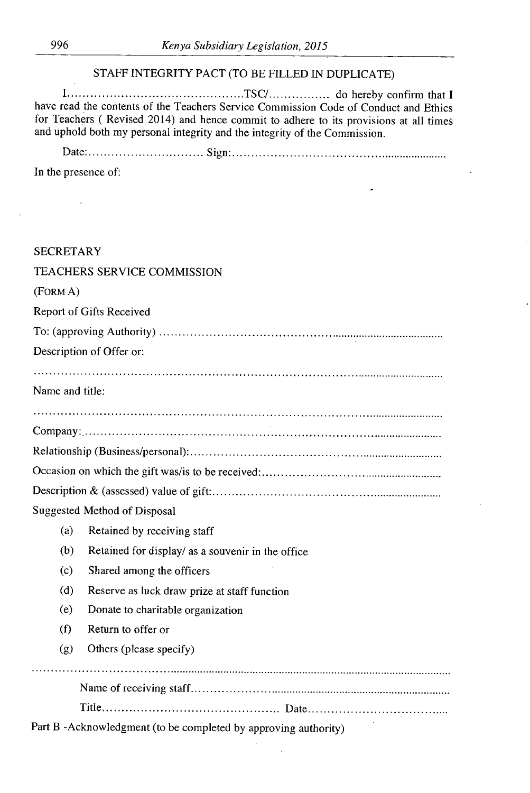# STAFF INTEGRITY PACT (TO BE FILLED IN DUPLICATE)

I .............................................. TSCI ................ do hereby confirm that I have read the contents of the Teachers Service Commission Code of Conduct and Ethics for Teachers ( Revised 2014) and hence commit to adhere to its provisions at all times and uphold both my personal integrity and the integrity of the Commission.

Date: .............................. Sign: .............................................................

In the presence of:

J.

| <b>SECRETARY</b> |                                                                |
|------------------|----------------------------------------------------------------|
|                  | TEACHERS SERVICE COMMISSION                                    |
| (FORM A)         |                                                                |
|                  | Report of Gifts Received                                       |
|                  |                                                                |
|                  | Description of Offer or:                                       |
|                  |                                                                |
| Name and title:  |                                                                |
|                  |                                                                |
|                  |                                                                |
|                  |                                                                |
|                  |                                                                |
|                  |                                                                |
|                  | Suggested Method of Disposal                                   |
| (a)              | Retained by receiving staff                                    |
| (b)              | Retained for display/ as a souvenir in the office              |
| (c)              | Shared among the officers                                      |
| (d)              | Reserve as luck draw prize at staff function                   |
| (e)              | Donate to charitable organization                              |
| (f)              | Return to offer or                                             |
| (g)              | Others (please specify)                                        |
|                  |                                                                |
|                  |                                                                |
|                  | Part B-Acknowledgment (to be completed by approving authority) |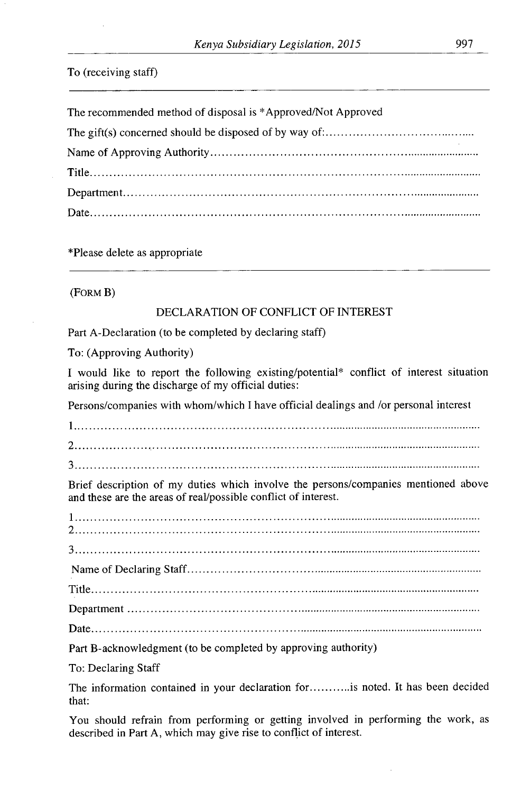#### To (receiving staff)

The recommended method of disposal is \*Approved/Not Approved The gift(s) concerned should be disposed of by way of: ........................................ Name of Approving Authority ........................................................................... Title........................................................................................................... Department................................................................................................. Date...........................................................................................................

\*Please delete as appropriate

(FORM B)

## DECLARATION OF CONFLICT OF INTEREST

Part A-Declaration (to be completed by declaring staff)

To: (Approving Authority)

I would like to report the following existing/potential\* conflict of interest situation arising during the discharge of my official duties:

Persons/companies with whom/which I have official dealings and /or personal interest

2 .....................................................................................................................

3 .....................................................................................................................

Brief description of my duties which involve the persons/companies mentioned above and these are the areas of real/possible conflict of interest.

Nameof Declaring Staff .......................................................................................... Department 

Part B- acknowledgment (to be completed by approving authority)

To: Declaring Staff

The information contained in your declaration for ........... is noted. It has been decided that:

You should refrain from performing or getting involved in performing the work, as described in Part A, which may give rise to conflict of interest.